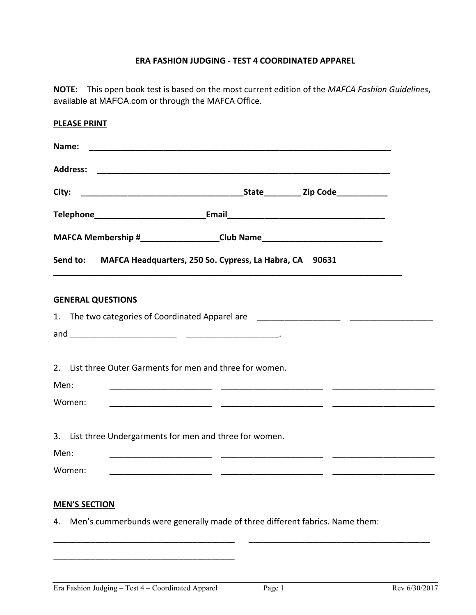## **ERA FASHION JUDGING - TEST 4 COORDINATED APPAREL**

**NOTE:** This open book test is based on the most current edition of the *MAFCA Fashion Guidelines*, available at MAFCA.com or through the MAFCA Office.

| <b>PLEASE PRINT</b>                                                                |  |  |
|------------------------------------------------------------------------------------|--|--|
| Name:                                                                              |  |  |
|                                                                                    |  |  |
| City:                                                                              |  |  |
| Telephone________________________________Email___________________________________  |  |  |
| MAFCA Membership #____________________Club Name_________________________________   |  |  |
| Send to: MAFCA Headquarters, 250 So. Cypress, La Habra, CA 90631                   |  |  |
| <b>GENERAL QUESTIONS</b>                                                           |  |  |
| 1. The two categories of Coordinated Apparel are _______________________________   |  |  |
|                                                                                    |  |  |
| 2. List three Outer Garments for men and three for women.                          |  |  |
| Men:                                                                               |  |  |
| Women:                                                                             |  |  |
|                                                                                    |  |  |
| 3. List three Undergarments for men and three for women.                           |  |  |
| Men:                                                                               |  |  |
| Women:                                                                             |  |  |
| <b>MEN'S SECTION</b>                                                               |  |  |
| Men's cummerbunds were generally made of three different fabrics. Name them:<br>4. |  |  |

\_\_\_\_\_\_\_\_\_\_\_\_\_\_\_\_\_\_\_\_\_\_\_\_\_\_\_\_\_\_\_\_\_\_\_\_\_\_\_

\_\_\_\_\_\_\_\_\_\_\_\_\_\_\_\_\_\_\_\_\_\_\_\_\_\_\_\_\_\_\_\_\_\_\_\_\_\_\_ \_\_\_\_\_\_\_\_\_\_\_\_\_\_\_\_\_\_\_\_\_\_\_\_\_\_\_\_\_\_\_\_\_\_\_\_\_\_\_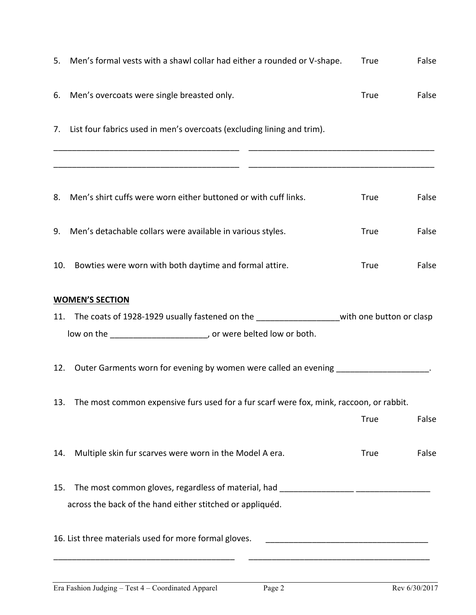|                                                         | True                                                                                                                                                                                                                                                                                                                                                                                                                                                                                                  | False                                                                                                                                                                                                                                                                                                                                                                    |
|---------------------------------------------------------|-------------------------------------------------------------------------------------------------------------------------------------------------------------------------------------------------------------------------------------------------------------------------------------------------------------------------------------------------------------------------------------------------------------------------------------------------------------------------------------------------------|--------------------------------------------------------------------------------------------------------------------------------------------------------------------------------------------------------------------------------------------------------------------------------------------------------------------------------------------------------------------------|
|                                                         | <b>True</b>                                                                                                                                                                                                                                                                                                                                                                                                                                                                                           | False                                                                                                                                                                                                                                                                                                                                                                    |
|                                                         |                                                                                                                                                                                                                                                                                                                                                                                                                                                                                                       |                                                                                                                                                                                                                                                                                                                                                                          |
|                                                         | <b>True</b>                                                                                                                                                                                                                                                                                                                                                                                                                                                                                           | False                                                                                                                                                                                                                                                                                                                                                                    |
|                                                         | <b>True</b>                                                                                                                                                                                                                                                                                                                                                                                                                                                                                           | False                                                                                                                                                                                                                                                                                                                                                                    |
| Bowties were worn with both daytime and formal attire.  | True                                                                                                                                                                                                                                                                                                                                                                                                                                                                                                  | False                                                                                                                                                                                                                                                                                                                                                                    |
|                                                         |                                                                                                                                                                                                                                                                                                                                                                                                                                                                                                       |                                                                                                                                                                                                                                                                                                                                                                          |
|                                                         |                                                                                                                                                                                                                                                                                                                                                                                                                                                                                                       |                                                                                                                                                                                                                                                                                                                                                                          |
|                                                         |                                                                                                                                                                                                                                                                                                                                                                                                                                                                                                       |                                                                                                                                                                                                                                                                                                                                                                          |
|                                                         |                                                                                                                                                                                                                                                                                                                                                                                                                                                                                                       |                                                                                                                                                                                                                                                                                                                                                                          |
|                                                         |                                                                                                                                                                                                                                                                                                                                                                                                                                                                                                       |                                                                                                                                                                                                                                                                                                                                                                          |
|                                                         | <b>True</b>                                                                                                                                                                                                                                                                                                                                                                                                                                                                                           | False                                                                                                                                                                                                                                                                                                                                                                    |
| Multiple skin fur scarves were worn in the Model A era. | <b>True</b>                                                                                                                                                                                                                                                                                                                                                                                                                                                                                           | False                                                                                                                                                                                                                                                                                                                                                                    |
|                                                         |                                                                                                                                                                                                                                                                                                                                                                                                                                                                                                       |                                                                                                                                                                                                                                                                                                                                                                          |
|                                                         |                                                                                                                                                                                                                                                                                                                                                                                                                                                                                                       |                                                                                                                                                                                                                                                                                                                                                                          |
|                                                         |                                                                                                                                                                                                                                                                                                                                                                                                                                                                                                       |                                                                                                                                                                                                                                                                                                                                                                          |
|                                                         | 6. Men's overcoats were single breasted only.<br>7. List four fabrics used in men's overcoats (excluding lining and trim).<br>8. Men's shirt cuffs were worn either buttoned or with cuff links.<br>9. Men's detachable collars were available in various styles.<br>10.<br><b>WOMEN'S SECTION</b><br>low on the __________________________, or were belted low or both.<br>15.<br>across the back of the hand either stitched or appliquéd.<br>16. List three materials used for more formal gloves. | 5. Men's formal vests with a shawl collar had either a rounded or V-shape.<br>11. The coats of 1928-1929 usually fastened on the ____________________with one button or clasp<br>12. Outer Garments worn for evening by women were called an evening ___________________.<br>13. The most common expensive furs used for a fur scarf were fox, mink, raccoon, or rabbit. |